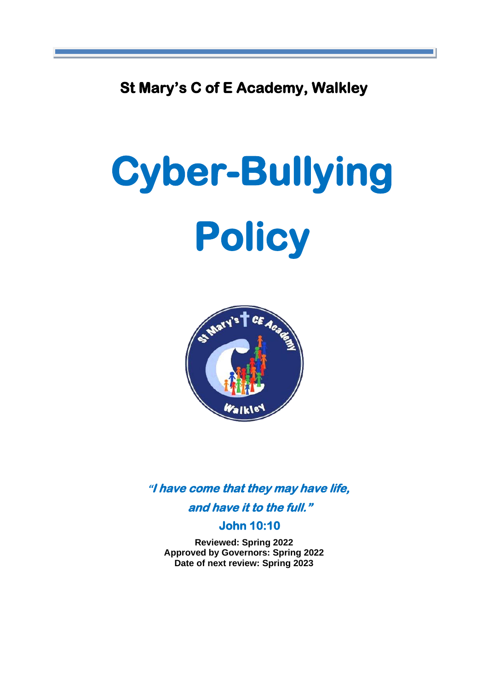**St Mary's C of E Academy, Walkley** 

# **Cyber-Bullying Policy**



**"I have come that they may have life,** 

**and have it to the full."** 

#### **John 10:10**

**Reviewed: Spring 2022 Approved by Governors: Spring 2022 Date of next review: Spring 2023**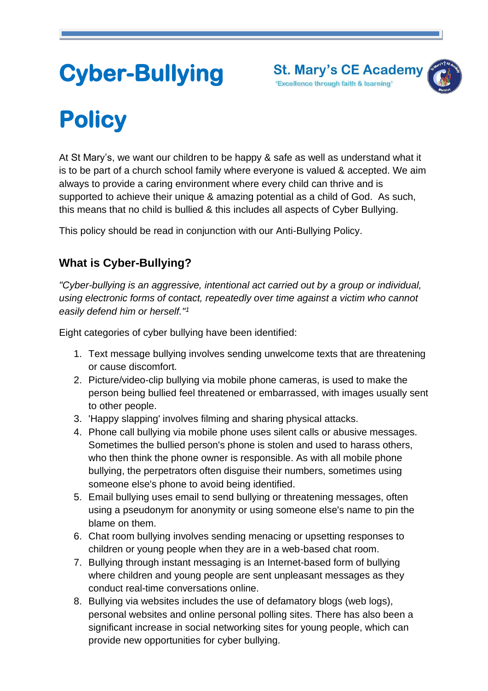

# **Cyber-Bullying**

# **Policy**

At St Mary's, we want our children to be happy & safe as well as understand what it is to be part of a church school family where everyone is valued & accepted. We aim always to provide a caring environment where every child can thrive and is supported to achieve their unique & amazing potential as a child of God. As such, this means that no child is bullied & this includes all aspects of Cyber Bullying.

This policy should be read in conjunction with our Anti-Bullying Policy.

# **What is Cyber-Bullying?**

*"Cyber-bullying is an aggressive, intentional act carried out by a group or individual, using electronic forms of contact, repeatedly over time against a victim who cannot easily defend him or herself."<sup>1</sup>*

Eight categories of cyber bullying have been identified:

- 1. Text message bullying involves sending unwelcome texts that are threatening or cause discomfort.
- 2. Picture/video-clip bullying via mobile phone cameras, is used to make the person being bullied feel threatened or embarrassed, with images usually sent to other people.
- 3. 'Happy slapping' involves filming and sharing physical attacks.
- 4. Phone call bullying via mobile phone uses silent calls or abusive messages. Sometimes the bullied person's phone is stolen and used to harass others, who then think the phone owner is responsible. As with all mobile phone bullying, the perpetrators often disguise their numbers, sometimes using someone else's phone to avoid being identified.
- 5. Email bullying uses email to send bullying or threatening messages, often using a pseudonym for anonymity or using someone else's name to pin the blame on them.
- 6. Chat room bullying involves sending menacing or upsetting responses to children or young people when they are in a web-based chat room.
- 7. Bullying through instant messaging is an Internet-based form of bullying where children and young people are sent unpleasant messages as they conduct real-time conversations online.
- 8. Bullying via websites includes the use of defamatory blogs (web logs), personal websites and online personal polling sites. There has also been a significant increase in social networking sites for young people, which can provide new opportunities for cyber bullying.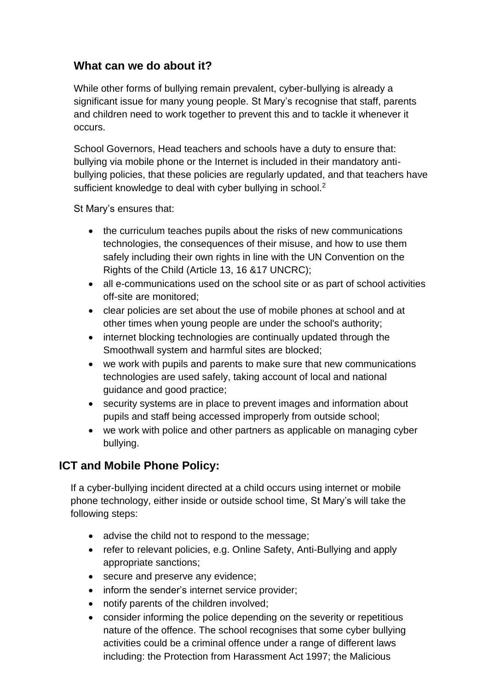## **What can we do about it?**

While other forms of bullying remain prevalent, cyber-bullying is already a significant issue for many young people. St Mary's recognise that staff, parents and children need to work together to prevent this and to tackle it whenever it occurs.

School Governors, Head teachers and schools have a duty to ensure that: bullying via mobile phone or the Internet is included in their mandatory antibullying policies, that these policies are regularly updated, and that teachers have sufficient knowledge to deal with cyber bullying in school.<sup>2</sup>

St Mary's ensures that:

- the curriculum teaches pupils about the risks of new communications technologies, the consequences of their misuse, and how to use them safely including their own rights in line with the UN Convention on the Rights of the Child (Article 13, 16 &17 UNCRC);
- all e-communications used on the school site or as part of school activities off-site are monitored;
- clear policies are set about the use of mobile phones at school and at other times when young people are under the school's authority;
- internet blocking technologies are continually updated through the Smoothwall system and harmful sites are blocked;
- we work with pupils and parents to make sure that new communications technologies are used safely, taking account of local and national guidance and good practice;
- security systems are in place to prevent images and information about pupils and staff being accessed improperly from outside school;
- we work with police and other partners as applicable on managing cyber bullying.

## **ICT and Mobile Phone Policy:**

If a cyber-bullying incident directed at a child occurs using internet or mobile phone technology, either inside or outside school time, St Mary's will take the following steps:

- advise the child not to respond to the message;
- refer to relevant policies, e.g. Online Safety, Anti-Bullying and apply appropriate sanctions;
- secure and preserve any evidence;
- inform the sender's internet service provider:
- notify parents of the children involved;
- consider informing the police depending on the severity or repetitious nature of the offence. The school recognises that some cyber bullying activities could be a criminal offence under a range of different laws including: the Protection from Harassment Act 1997; the Malicious